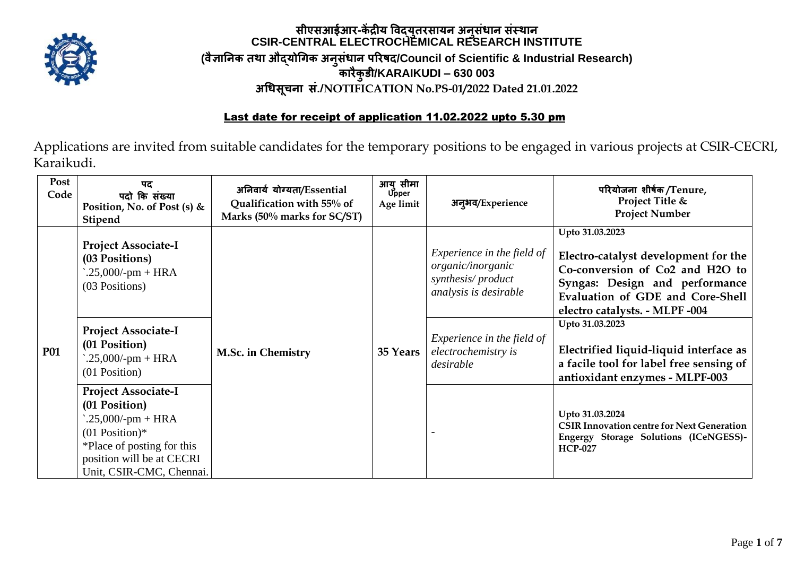

## **सीएसआईआर-कें द्रीय विद्युतरसायन अनुसंधान संस्थान CSIR-CENTRAL ELECTROCHEMICAL RESEARCH INSTITUTE (िैज्ञाननक तथा औद्योगिक अनुसंधान पररषद/Council of Scientific & Industrial Research) कारैकुडी/KARAIKUDI – 630 003 अगधसूचना सं./NOTIFICATION No.PS-01/2022 Dated 21.01.2022**

## Last date for receipt of application 11.02.2022 upto 5.30 pm

Applications are invited from suitable candidates for the temporary positions to be engaged in various projects at CSIR-CECRI, Karaikudi.

| Post<br>Code | पद<br>पदो कि संख्या<br>Position, No. of Post (s) $&$<br><b>Stipend</b>                                                                                                         | अनिवार्य योग्यता/Essential<br>Qualification with 55% of<br>Marks (50% marks for SC/ST) | आयु सीमा<br>Upper<br>Age limit | अन्अव/Experience                                                                              | परियोजना शीर्षक/Tenure,<br>Project Title &<br><b>Project Number</b>                                                                                                                                |
|--------------|--------------------------------------------------------------------------------------------------------------------------------------------------------------------------------|----------------------------------------------------------------------------------------|--------------------------------|-----------------------------------------------------------------------------------------------|----------------------------------------------------------------------------------------------------------------------------------------------------------------------------------------------------|
| <b>P01</b>   | <b>Project Associate-I</b><br>(03 Positions)<br>$.25,000$ /-pm + HRA<br>(03 Positions)                                                                                         | <b>M.Sc. in Chemistry</b>                                                              | 35 Years                       | Experience in the field of<br>organic/inorganic<br>synthesis/product<br>analysis is desirable | Upto 31.03.2023<br>Electro-catalyst development for the<br>Co-conversion of Co2 and H2O to<br>Syngas: Design and performance<br>Evaluation of GDE and Core-Shell<br>electro catalysts. - MLPF -004 |
|              | <b>Project Associate-I</b><br>(01 Position)<br>$.25,000$ /-pm + HRA<br>(01 Position)                                                                                           |                                                                                        |                                | Experience in the field of<br>electrochemistry is<br>desirable                                | Upto 31.03.2023<br>Electrified liquid-liquid interface as<br>a facile tool for label free sensing of<br>antioxidant enzymes - MLPF-003                                                             |
|              | <b>Project Associate-I</b><br>(01 Position)<br>$.25,000$ /-pm + HRA<br>$(01$ Position)*<br>*Place of posting for this<br>position will be at CECRI<br>Unit, CSIR-CMC, Chennai. |                                                                                        |                                |                                                                                               | Upto 31.03.2024<br><b>CSIR Innovation centre for Next Generation</b><br>Engergy Storage Solutions (ICeNGESS)-<br><b>HCP-027</b>                                                                    |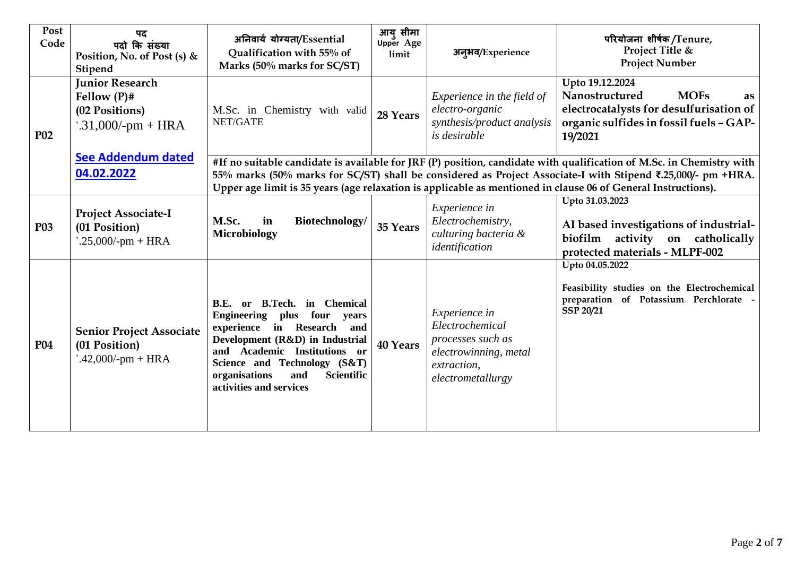| Post<br>Code | पद<br>पदो कि संख्या<br>Position, No. of Post (s) $&$<br>Stipend                    | अनिवार्य योग्यता/Essential<br>Qualification with 55% of<br>Marks (50% marks for SC/ST)                                                                                                                                                                                                                                                               | आयु सीमा<br>Upper Age<br>limit | अन्अव/Experience                                                                                                   | परियोजना शीर्षक/Tenure,<br>Project Title &<br><b>Project Number</b>                                                                                            |  |
|--------------|------------------------------------------------------------------------------------|------------------------------------------------------------------------------------------------------------------------------------------------------------------------------------------------------------------------------------------------------------------------------------------------------------------------------------------------------|--------------------------------|--------------------------------------------------------------------------------------------------------------------|----------------------------------------------------------------------------------------------------------------------------------------------------------------|--|
| <b>P02</b>   | <b>Junior Research</b><br>Fellow $(P)$ #<br>(02 Positions)<br>$.31,000$ /-pm + HRA | M.Sc. in Chemistry with valid<br>NET/GATE                                                                                                                                                                                                                                                                                                            | 28 Years                       | Experience in the field of<br>electro-organic<br>synthesis/product analysis<br><i>is desirable</i>                 | Upto 19.12.2024<br>Nanostructured<br><b>MOFs</b><br><b>as</b><br>electrocatalysts for desulfurisation of<br>organic sulfides in fossil fuels - GAP-<br>19/2021 |  |
|              | See Addendum dated<br>04.02.2022                                                   | #If no suitable candidate is available for JRF (P) position, candidate with qualification of M.Sc. in Chemistry with<br>55% marks (50% marks for SC/ST) shall be considered as Project Associate-I with Stipend ₹.25,000/- pm +HRA.<br>Upper age limit is 35 years (age relaxation is applicable as mentioned in clause 06 of General Instructions). |                                |                                                                                                                    |                                                                                                                                                                |  |
| <b>P03</b>   | <b>Project Associate-I</b><br>(01 Position)<br>$.25,000$ /-pm + HRA                | M.Sc.<br>Biotechnology/<br>in<br><b>Microbiology</b>                                                                                                                                                                                                                                                                                                 | 35 Years                       | Experience in<br>Electrochemistry,<br>culturing bacteria &<br>identification                                       | Upto 31.03.2023<br>AI based investigations of industrial-<br>biofilm activity on catholically<br>protected materials - MLPF-002                                |  |
| <b>P04</b>   | <b>Senior Project Associate</b><br>(01 Position)<br>$.42,000$ /-pm + HRA           | <b>B.Tech.</b> in Chemical<br>B.E. or<br>four<br><b>Engineering</b><br>plus<br>years<br>in Research<br>experience<br>and<br>Development (R&D) in Industrial<br>and Academic Institutions or<br>Science and Technology (S&T)<br>organisations<br><b>Scientific</b><br>and<br>activities and services                                                  | 40 Years                       | Experience in<br>Electrochemical<br>processes such as<br>electrowinning, metal<br>extraction,<br>electrometallurgy | Upto 04.05.2022<br>Feasibility studies on the Electrochemical<br>preparation of Potassium Perchlorate -<br><b>SSP 20/21</b>                                    |  |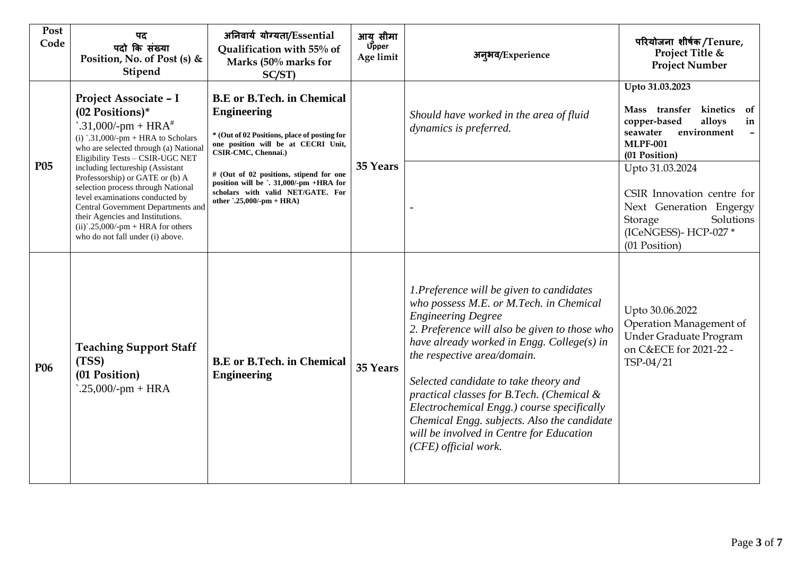| Post<br>Code    | पद<br>पदो कि संख्या<br>Position, No. of Post (s) &<br>Stipend                                                                                                                                                                                                                                                                                                                                                                                                                                                   | अनिवार्य योग्यता/Essential<br>Qualification with 55% of<br>Marks (50% marks for<br>SC/ST)                                                                                                                                                                                                                                            | आय सीमा<br><b>Upper</b><br>Age limit | अन्अव/Experience                                                                                                                                                                                                                                                                                                                                                                                                                                                                                       | परियोजना शीर्षक/Tenure,<br>Project Title &<br><b>Project Number</b>                                                                                                        |
|-----------------|-----------------------------------------------------------------------------------------------------------------------------------------------------------------------------------------------------------------------------------------------------------------------------------------------------------------------------------------------------------------------------------------------------------------------------------------------------------------------------------------------------------------|--------------------------------------------------------------------------------------------------------------------------------------------------------------------------------------------------------------------------------------------------------------------------------------------------------------------------------------|--------------------------------------|--------------------------------------------------------------------------------------------------------------------------------------------------------------------------------------------------------------------------------------------------------------------------------------------------------------------------------------------------------------------------------------------------------------------------------------------------------------------------------------------------------|----------------------------------------------------------------------------------------------------------------------------------------------------------------------------|
| P <sub>05</sub> | Project Associate - I<br>(02 Positions)*<br>$\therefore$ 31,000/-pm + HRA <sup>#</sup><br>(i) '.31,000/-pm + HRA to Scholars<br>who are selected through (a) National<br>Eligibility Tests - CSIR-UGC NET<br>including lectureship (Assistant<br>Professorship) or GATE or (b) A<br>selection process through National<br>level examinations conducted by<br>Central Government Departments and<br>their Agencies and Institutions.<br>$(ii)^2.25,000/-pm + HRA$ for others<br>who do not fall under (i) above. | <b>B.E</b> or <b>B.Tech.</b> in Chemical<br><b>Engineering</b><br>* (Out of 02 Positions, place of posting for<br>one position will be at CECRI Unit,<br>CSIR-CMC, Chennai.)<br># (Out of 02 positions, stipend for one<br>position will be `. 31,000/-pm +HRA for<br>scholars with valid NET/GATE. For<br>other '.25,000/-pm + HRA) | 35 Years                             | Should have worked in the area of fluid<br>dynamics is preferred.                                                                                                                                                                                                                                                                                                                                                                                                                                      | Upto 31.03.2023<br>Mass transfer kinetics<br>of<br>copper-based<br>alloys<br>in<br>seawater<br>environment<br>$\overline{\phantom{a}}$<br><b>MLPF-001</b><br>(01 Position) |
|                 |                                                                                                                                                                                                                                                                                                                                                                                                                                                                                                                 |                                                                                                                                                                                                                                                                                                                                      |                                      |                                                                                                                                                                                                                                                                                                                                                                                                                                                                                                        | Upto 31.03.2024<br>CSIR Innovation centre for<br>Next Generation Engergy<br>Solutions<br>Storage<br>(ICeNGESS)-HCP-027*<br>(01 Position)                                   |
| P <sub>06</sub> | <b>Teaching Support Staff</b><br>(TSS)<br>(01 Position)<br>$.25,000$ /-pm + HRA                                                                                                                                                                                                                                                                                                                                                                                                                                 | <b>B.E</b> or <b>B.Tech.</b> in Chemical<br><b>Engineering</b>                                                                                                                                                                                                                                                                       | 35 Years                             | 1. Preference will be given to candidates<br>who possess M.E. or M.Tech. in Chemical<br><b>Engineering Degree</b><br>2. Preference will also be given to those who<br>have already worked in Engg. College(s) in<br>the respective area/domain.<br>Selected candidate to take theory and<br>practical classes for B.Tech. (Chemical &<br>Electrochemical Engg.) course specifically<br>Chemical Engg. subjects. Also the candidate<br>will be involved in Centre for Education<br>(CFE) official work. | Upto 30.06.2022<br>Operation Management of<br>Under Graduate Program<br>on C&ECE for 2021-22 -<br>TSP-04/21                                                                |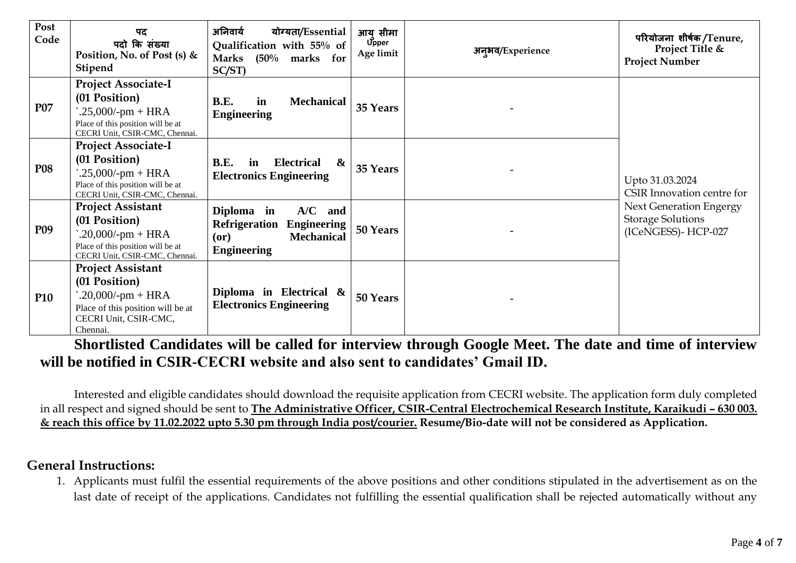| Post<br>Code    | पद<br>पदो कि संख्या<br>Position, No. of Post (s) $&$<br>Stipend                                                                             | अनिवार्य<br>योग्यता/Essential<br>Qualification with 55% of<br>$(50\%$ marks for<br><b>Marks</b><br>$SC/ST$ )    | आय् सीमा<br><b>Upper</b><br>Age limit | अन् <i>भव/Experience</i> | परियोजना शीर्षक/Tenure,<br>Project Title &<br><b>Project Number</b>                                                               |
|-----------------|---------------------------------------------------------------------------------------------------------------------------------------------|-----------------------------------------------------------------------------------------------------------------|---------------------------------------|--------------------------|-----------------------------------------------------------------------------------------------------------------------------------|
| P07             | <b>Project Associate-I</b><br>(01 Position)<br>$.25,000$ /-pm + HRA<br>Place of this position will be at<br>CECRI Unit, CSIR-CMC, Chennai.  | B.E.<br>in<br><b>Mechanical</b><br><b>Engineering</b>                                                           | 35 Years                              |                          | Upto 31.03.2024<br>CSIR Innovation centre for<br><b>Next Generation Engergy</b><br><b>Storage Solutions</b><br>(ICeNGESS)-HCP-027 |
| <b>P08</b>      | <b>Project Associate-I</b><br>(01 Position)<br>$.25,000$ /-pm + HRA<br>Place of this position will be at<br>CECRI Unit, CSIR-CMC, Chennai.  | B.E.<br><b>Electrical</b><br>$\boldsymbol{\alpha}$<br>in<br><b>Electronics Engineering</b>                      | 35 Years                              |                          |                                                                                                                                   |
| P <sub>09</sub> | <b>Project Assistant</b><br>(01 Position)<br>$.20,000$ /-pm + HRA<br>Place of this position will be at<br>CECRI Unit, CSIR-CMC, Chennai.    | Diploma in<br>A/C<br>and<br><b>Refrigeration Engineering</b><br><b>Mechanical</b><br>(or)<br><b>Engineering</b> | 50 Years                              |                          |                                                                                                                                   |
| <b>P10</b>      | <b>Project Assistant</b><br>(01 Position)<br>$.20,000$ /-pm + HRA<br>Place of this position will be at<br>CECRI Unit, CSIR-CMC,<br>Chennai. | Diploma in Electrical $\&$<br><b>Electronics Engineering</b>                                                    | 50 Years                              |                          |                                                                                                                                   |

**Shortlisted Candidates will be called for interview through Google Meet. The date and time of interview will be notified in CSIR-CECRI website and also sent to candidates' Gmail ID.**

Interested and eligible candidates should download the requisite application from CECRI website. The application form duly completed in all respect and signed should be sent to The Administrative Officer, CSIR-Central Electrochemical Research Institute, Karaikudi - 630 003. **& reach this office by 11.02.2022 upto 5.30 pm through India post/courier. Resume/Bio-date will not be considered as Application.**

## **General Instructions:**

1. Applicants must fulfil the essential requirements of the above positions and other conditions stipulated in the advertisement as on the last date of receipt of the applications. Candidates not fulfilling the essential qualification shall be rejected automatically without any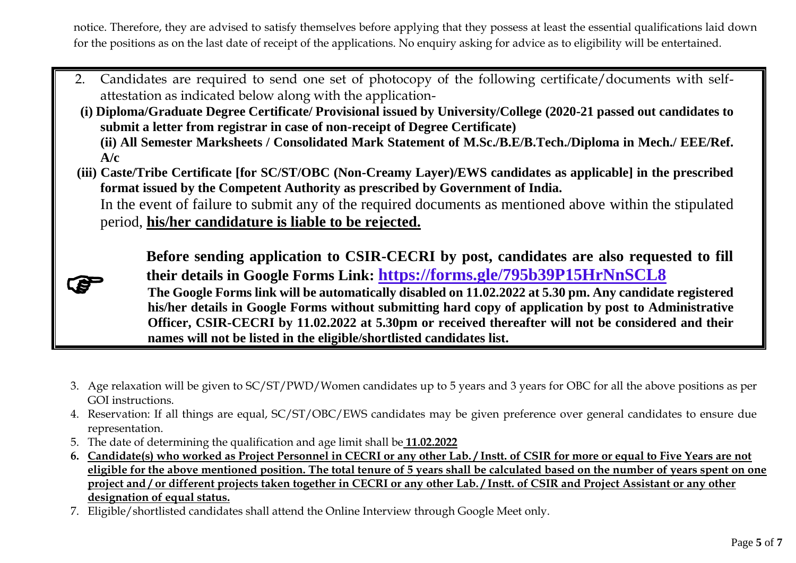notice. Therefore, they are advised to satisfy themselves before applying that they possess at least the essential qualifications laid down for the positions as on the last date of receipt of the applications. No enquiry asking for advice as to eligibility will be entertained.

- 2. Candidates are required to send one set of photocopy of the following certificate/documents with selfattestation as indicated below along with the application-
- **(i) Diploma/Graduate Degree Certificate/ Provisional issued by University/College (2020-21 passed out candidates to submit a letter from registrar in case of non-receipt of Degree Certificate) (ii) All Semester Marksheets / Consolidated Mark Statement of M.Sc./B.E/B.Tech./Diploma in Mech./ EEE/Ref. A/c**
- **(iii) Caste/Tribe Certificate [for SC/ST/OBC (Non-Creamy Layer)/EWS candidates as applicable] in the prescribed format issued by the Competent Authority as prescribed by Government of India.** In the event of failure to submit any of the required documents as mentioned above within the stipulated
	- period, **his/her candidature is liable to be rejected.**

 $\bullet$ 

**Before sending application to CSIR-CECRI by post, candidates are also requested to fill their details in Google Forms Link: https://forms.gle/795b39P15HrNnSCL8**

**The Google Forms link will be automatically disabled on 11.02.2022 at 5.30 pm. Any candidate registered his/her details in Google Forms without submitting hard copy of application by post to Administrative Officer, CSIR-CECRI by 11.02.2022 at 5.30pm or received thereafter will not be considered and their names will not be listed in the eligible/shortlisted candidates list.**

- 3. Age relaxation will be given to SC/ST/PWD/Women candidates up to 5 years and 3 years for OBC for all the above positions as per GOI instructions.
- 4. Reservation: If all things are equal, SC/ST/OBC/EWS candidates may be given preference over general candidates to ensure due representation.
- 5. The date of determining the qualification and age limit shall be **11.02.2022**
- **6. Candidate(s) who worked as Project Personnel in CECRI or any other Lab. / Instt. of CSIR for more or equal to Five Years are not eligible for the above mentioned position. The total tenure of 5 years shall be calculated based on the number of years spent on one project and / or different projects taken together in CECRI or any other Lab. / Instt. of CSIR and Project Assistant or any other designation of equal status.**
- 7. Eligible/shortlisted candidates shall attend the Online Interview through Google Meet only.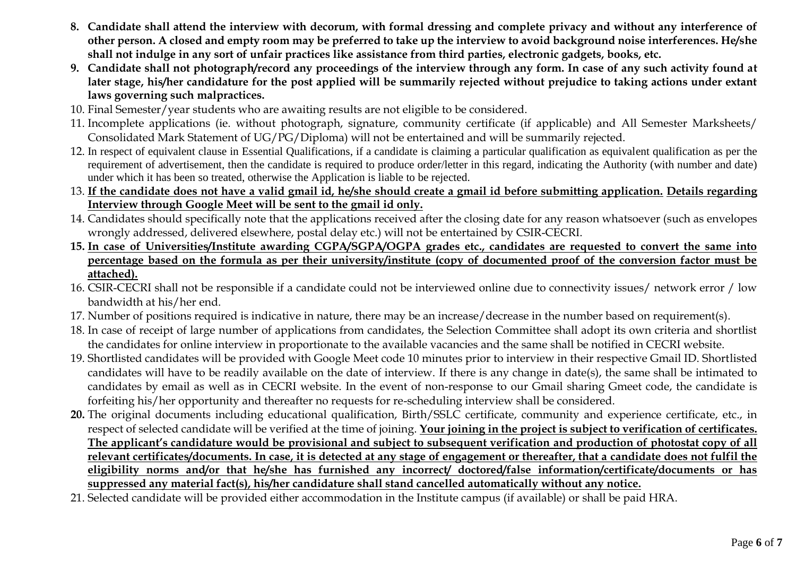- **8. Candidate shall attend the interview with decorum, with formal dressing and complete privacy and without any interference of other person. A closed and empty room may be preferred to take up the interview to avoid background noise interferences. He/she shall not indulge in any sort of unfair practices like assistance from third parties, electronic gadgets, books, etc.**
- **9. Candidate shall not photograph/record any proceedings of the interview through any form. In case of any such activity found at later stage, his/her candidature for the post applied will be summarily rejected without prejudice to taking actions under extant laws governing such malpractices.**
- 10. Final Semester/year students who are awaiting results are not eligible to be considered.
- 11. Incomplete applications (ie. without photograph, signature, community certificate (if applicable) and All Semester Marksheets/ Consolidated Mark Statement of UG/PG/Diploma) will not be entertained and will be summarily rejected.
- 12. In respect of equivalent clause in Essential Qualifications, if a candidate is claiming a particular qualification as equivalent qualification as per the requirement of advertisement, then the candidate is required to produce order/letter in this regard, indicating the Authority (with number and date) under which it has been so treated, otherwise the Application is liable to be rejected.
- 13. **If the candidate does not have a valid gmail id, he/she should create a gmail id before submitting application. Details regarding Interview through Google Meet will be sent to the gmail id only.**
- 14. Candidates should specifically note that the applications received after the closing date for any reason whatsoever (such as envelopes wrongly addressed, delivered elsewhere, postal delay etc.) will not be entertained by CSIR-CECRI.
- **15. In case of Universities/Institute awarding CGPA/SGPA/OGPA grades etc., candidates are requested to convert the same into percentage based on the formula as per their university/institute (copy of documented proof of the conversion factor must be attached).**
- 16. CSIR-CECRI shall not be responsible if a candidate could not be interviewed online due to connectivity issues/ network error / low bandwidth at his/her end.
- 17. Number of positions required is indicative in nature, there may be an increase/decrease in the number based on requirement(s).
- 18. In case of receipt of large number of applications from candidates, the Selection Committee shall adopt its own criteria and shortlist the candidates for online interview in proportionate to the available vacancies and the same shall be notified in CECRI website.
- 19. Shortlisted candidates will be provided with Google Meet code 10 minutes prior to interview in their respective Gmail ID. Shortlisted candidates will have to be readily available on the date of interview. If there is any change in date(s), the same shall be intimated to candidates by email as well as in CECRI website. In the event of non-response to our Gmail sharing Gmeet code, the candidate is forfeiting his/her opportunity and thereafter no requests for re-scheduling interview shall be considered.
- **20.** The original documents including educational qualification, Birth/SSLC certificate, community and experience certificate, etc., in respect of selected candidate will be verified at the time of joining. **Your joining in the project is subject to verification of certificates. The applicant's candidature would be provisional and subject to subsequent verification and production of photostat copy of all relevant certificates/documents. In case, it is detected at any stage of engagement or thereafter, that a candidate does not fulfil the eligibility norms and/or that he/she has furnished any incorrect/ doctored/false information/certificate/documents or has suppressed any material fact(s), his/her candidature shall stand cancelled automatically without any notice.**
- 21. Selected candidate will be provided either accommodation in the Institute campus (if available) or shall be paid HRA.